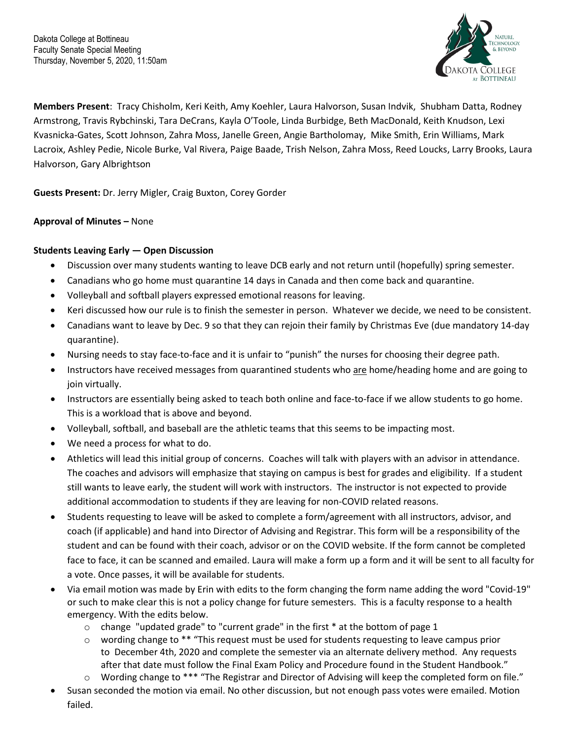

**Members Present**: Tracy Chisholm, Keri Keith, Amy Koehler, Laura Halvorson, Susan Indvik, Shubham Datta, Rodney Armstrong, Travis Rybchinski, Tara DeCrans, Kayla O'Toole, Linda Burbidge, Beth MacDonald, Keith Knudson, Lexi Kvasnicka-Gates, Scott Johnson, Zahra Moss, Janelle Green, Angie Bartholomay, Mike Smith, Erin Williams, Mark Lacroix, Ashley Pedie, Nicole Burke, Val Rivera, Paige Baade, Trish Nelson, Zahra Moss, Reed Loucks, Larry Brooks, Laura Halvorson, Gary Albrightson

**Guests Present:** Dr. Jerry Migler, Craig Buxton, Corey Gorder

## **Approval of Minutes –** None

## **Students Leaving Early — Open Discussion**

- Discussion over many students wanting to leave DCB early and not return until (hopefully) spring semester.
- Canadians who go home must quarantine 14 days in Canada and then come back and quarantine.
- Volleyball and softball players expressed emotional reasons for leaving.
- Keri discussed how our rule is to finish the semester in person. Whatever we decide, we need to be consistent.
- Canadians want to leave by Dec. 9 so that they can rejoin their family by Christmas Eve (due mandatory 14-day quarantine).
- Nursing needs to stay face-to-face and it is unfair to "punish" the nurses for choosing their degree path.
- Instructors have received messages from quarantined students who are home/heading home and are going to join virtually.
- Instructors are essentially being asked to teach both online and face-to-face if we allow students to go home. This is a workload that is above and beyond.
- Volleyball, softball, and baseball are the athletic teams that this seems to be impacting most.
- We need a process for what to do.
- Athletics will lead this initial group of concerns. Coaches will talk with players with an advisor in attendance. The coaches and advisors will emphasize that staying on campus is best for grades and eligibility. If a student still wants to leave early, the student will work with instructors. The instructor is not expected to provide additional accommodation to students if they are leaving for non-COVID related reasons.
- Students requesting to leave will be asked to complete a form/agreement with all instructors, advisor, and coach (if applicable) and hand into Director of Advising and Registrar. This form will be a responsibility of the student and can be found with their coach, advisor or on the COVID website. If the form cannot be completed face to face, it can be scanned and emailed. Laura will make a form up a form and it will be sent to all faculty for a vote. Once passes, it will be available for students.
- Via email motion was made by Erin with edits to the form changing the form name adding the word "Covid-19" or such to make clear this is not a policy change for future semesters. This is a faculty response to a health emergency. With the edits below.
	- $\circ$  change "updated grade" to "current grade" in the first  $*$  at the bottom of page 1
	- $\circ$  wording change to \*\* "This request must be used for students requesting to leave campus prior to December 4th, 2020 and complete the semester via an alternate delivery method. Any requests after that date must follow the Final Exam Policy and Procedure found in the Student Handbook."
	- o Wording change to \*\*\* "The Registrar and Director of Advising will keep the completed form on file."
- Susan seconded the motion via email. No other discussion, but not enough pass votes were emailed. Motion failed.